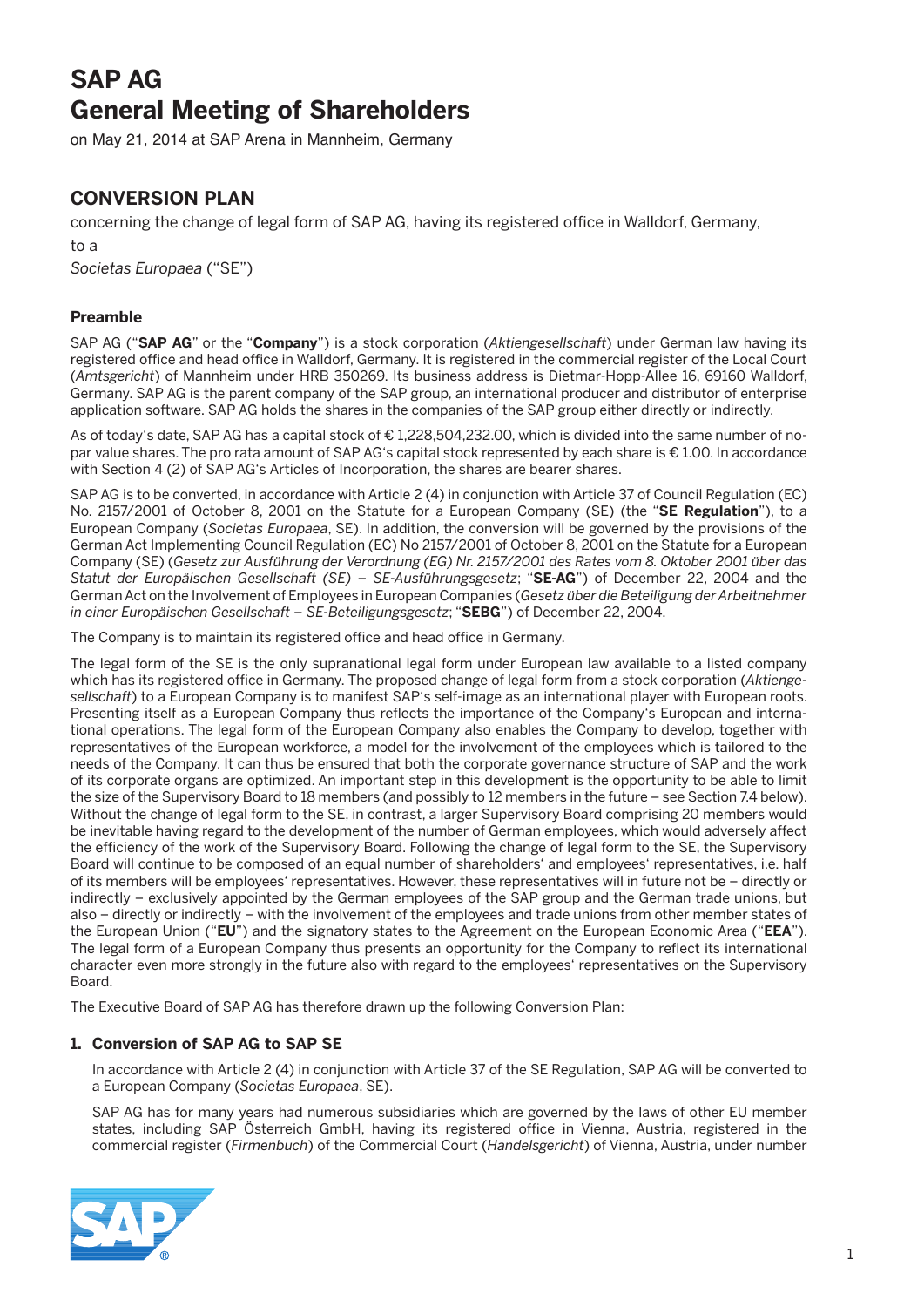# **SAP AG General Meeting of Shareholders**

on May 21, 2014 at SAP Arena in Mannheim, Germany

# **CONVERSION PLAN**

concerning the change of legal form of SAP AG, having its registered office in Walldorf, Germany,

to a *Societas Europaea* ("SE")

# **Preamble**

SAP AG ("**SAP AG**" or the "**Company**") is a stock corporation (*Aktiengesellschaft*) under German law having its registered office and head office in Walldorf, Germany. It is registered in the commercial register of the Local Court (*Amtsgericht*) of Mannheim under HRB 350269. Its business address is Dietmar-Hopp-Allee 16, 69160 Walldorf, Germany. SAP AG is the parent company of the SAP group, an international producer and distributor of enterprise application software. SAP AG holds the shares in the companies of the SAP group either directly or indirectly.

As of today's date, SAP AG has a capital stock of € 1,228,504,232.00, which is divided into the same number of nopar value shares. The pro rata amount of SAP AG's capital stock represented by each share is € 1.00. In accordance with Section 4 (2) of SAP AG's Articles of Incorporation, the shares are bearer shares.

SAP AG is to be converted, in accordance with Article 2 (4) in conjunction with Article 37 of Council Regulation (EC) No. 2157/2001 of October 8, 2001 on the Statute for a European Company (SE) (the "**SE Regulation**"), to a European Company (*Societas Europaea*, SE). In addition, the conversion will be governed by the provisions of the German Act Implementing Council Regulation (EC) No 2157/2001 of October 8, 2001 on the Statute for a European Company (SE) (*Gesetz zur Ausführung der Verordnung (EG) Nr. 2157/2001 des Rates vom 8. Oktober 2001 über das Statut der Europäischen Gesellschaft (SE) – SE-Ausführungsgesetz*; "**SE-AG**") of December 22, 2004 and the German Act on the Involvement of Employees in European Companies (*Gesetz über die Beteiligung der Arbeitnehmer in einer Europäischen Gesellschaft – SE-Beteiligungsgesetz*; "**SEBG**") of December 22, 2004.

The Company is to maintain its registered office and head office in Germany.

The legal form of the SE is the only supranational legal form under European law available to a listed company which has its registered office in Germany. The proposed change of legal form from a stock corporation (*Aktiengesellschaft*) to a European Company is to manifest SAP's self-image as an international player with European roots. Presenting itself as a European Company thus reflects the importance of the Company's European and international operations. The legal form of the European Company also enables the Company to develop, together with representatives of the European workforce, a model for the involvement of the employees which is tailored to the needs of the Company. It can thus be ensured that both the corporate governance structure of SAP and the work of its corporate organs are optimized. An important step in this development is the opportunity to be able to limit the size of the Supervisory Board to 18 members (and possibly to 12 members in the future – see Section 7.4 below). Without the change of legal form to the SE, in contrast, a larger Supervisory Board comprising 20 members would be inevitable having regard to the development of the number of German employees, which would adversely affect the efficiency of the work of the Supervisory Board. Following the change of legal form to the SE, the Supervisory Board will continue to be composed of an equal number of shareholders' and employees' representatives, i.e. half of its members will be employees' representatives. However, these representatives will in future not be – directly or indirectly – exclusively appointed by the German employees of the SAP group and the German trade unions, but also – directly or indirectly – with the involvement of the employees and trade unions from other member states of the European Union ("**EU**") and the signatory states to the Agreement on the European Economic Area ("**EEA**"). The legal form of a European Company thus presents an opportunity for the Company to reflect its international character even more strongly in the future also with regard to the employees' representatives on the Supervisory Board.

The Executive Board of SAP AG has therefore drawn up the following Conversion Plan:

# **1. Conversion of SAP AG to SAP SE**

 In accordance with Article 2 (4) in conjunction with Article 37 of the SE Regulation, SAP AG will be converted to a European Company (*Societas Europaea*, SE).

 SAP AG has for many years had numerous subsidiaries which are governed by the laws of other EU member states, including SAP Österreich GmbH, having its registered office in Vienna, Austria, registered in the commercial register (*Firmenbuch*) of the Commercial Court (*Handelsgericht*) of Vienna, Austria, under number

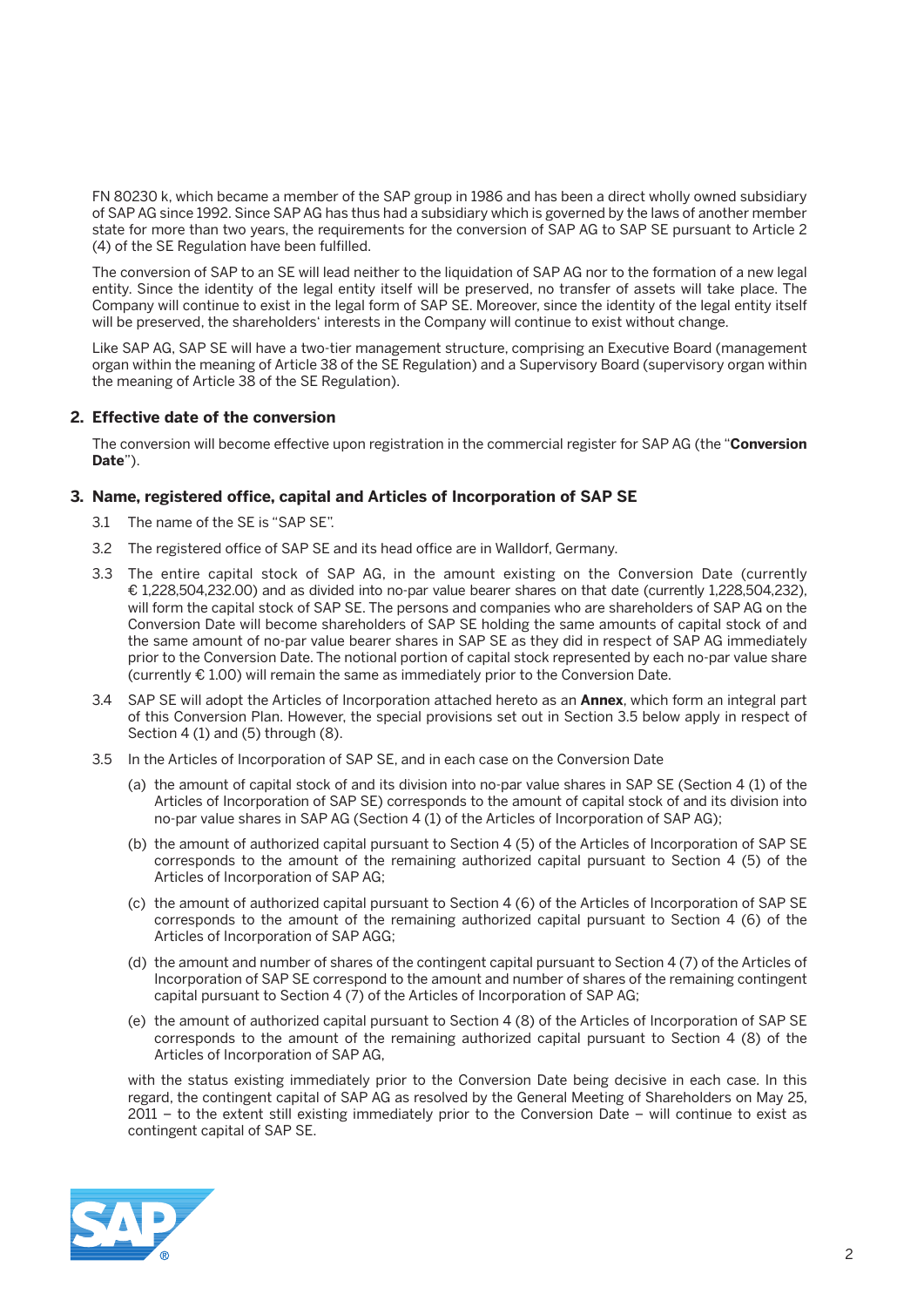FN 80230 k, which became a member of the SAP group in 1986 and has been a direct wholly owned subsidiary of SAP AG since 1992. Since SAP AG has thus had a subsidiary which is governed by the laws of another member state for more than two years, the requirements for the conversion of SAP AG to SAP SE pursuant to Article 2 (4) of the SE Regulation have been fulfilled.

 The conversion of SAP to an SE will lead neither to the liquidation of SAP AG nor to the formation of a new legal entity. Since the identity of the legal entity itself will be preserved, no transfer of assets will take place. The Company will continue to exist in the legal form of SAP SE. Moreover, since the identity of the legal entity itself will be preserved, the shareholders' interests in the Company will continue to exist without change.

 Like SAP AG, SAP SE will have a two-tier management structure, comprising an Executive Board (management organ within the meaning of Article 38 of the SE Regulation) and a Supervisory Board (supervisory organ within the meaning of Article 38 of the SE Regulation).

#### **2. Effective date of the conversion**

 The conversion will become effective upon registration in the commercial register for SAP AG (the "**Conversion Date**").

#### **3. Name, registered office, capital and Articles of Incorporation of SAP SE**

- 3.1 The name of the SE is "SAP SE".
- 3.2 The registered office of SAP SE and its head office are in Walldorf, Germany.
- 3.3 The entire capital stock of SAP AG, in the amount existing on the Conversion Date (currently € 1,228,504,232.00) and as divided into no-par value bearer shares on that date (currently 1,228,504,232), will form the capital stock of SAP SE. The persons and companies who are shareholders of SAP AG on the Conversion Date will become shareholders of SAP SE holding the same amounts of capital stock of and the same amount of no-par value bearer shares in SAP SE as they did in respect of SAP AG immediately prior to the Conversion Date. The notional portion of capital stock represented by each no-par value share (currently  $E$  1.00) will remain the same as immediately prior to the Conversion Date.
- 3.4 SAP SE will adopt the Articles of Incorporation attached hereto as an **Annex**, which form an integral part of this Conversion Plan. However, the special provisions set out in Section 3.5 below apply in respect of Section 4 (1) and (5) through (8).
- 3.5 In the Articles of Incorporation of SAP SE, and in each case on the Conversion Date
	- (a) the amount of capital stock of and its division into no-par value shares in SAP SE (Section 4 (1) of the Articles of Incorporation of SAP SE) corresponds to the amount of capital stock of and its division into no-par value shares in SAP AG (Section 4 (1) of the Articles of Incorporation of SAP AG);
	- (b) the amount of authorized capital pursuant to Section 4 (5) of the Articles of Incorporation of SAP SE corresponds to the amount of the remaining authorized capital pursuant to Section 4 (5) of the Articles of Incorporation of SAP AG;
	- (c) the amount of authorized capital pursuant to Section 4 (6) of the Articles of Incorporation of SAP SE corresponds to the amount of the remaining authorized capital pursuant to Section 4 (6) of the Articles of Incorporation of SAP AGG;
	- (d) the amount and number of shares of the contingent capital pursuant to Section 4 (7) of the Articles of Incorporation of SAP SE correspond to the amount and number of shares of the remaining contingent capital pursuant to Section 4 (7) of the Articles of Incorporation of SAP AG;
	- (e) the amount of authorized capital pursuant to Section 4 (8) of the Articles of Incorporation of SAP SE corresponds to the amount of the remaining authorized capital pursuant to Section 4 (8) of the Articles of Incorporation of SAP AG,

 with the status existing immediately prior to the Conversion Date being decisive in each case. In this regard, the contingent capital of SAP AG as resolved by the General Meeting of Shareholders on May 25, 2011 – to the extent still existing immediately prior to the Conversion Date – will continue to exist as contingent capital of SAP SE.

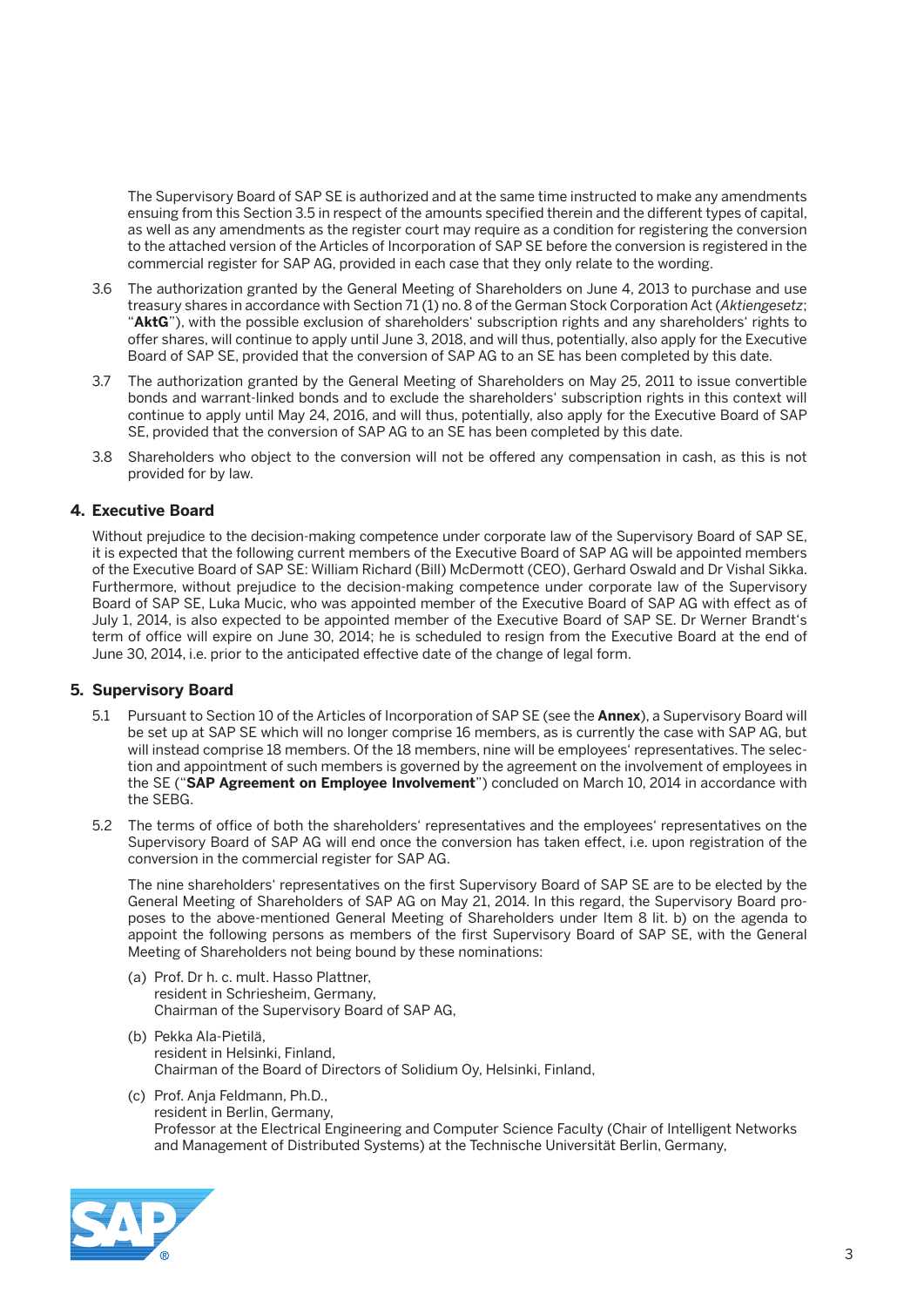The Supervisory Board of SAP SE is authorized and at the same time instructed to make any amendments ensuing from this Section 3.5 in respect of the amounts specified therein and the different types of capital, as well as any amendments as the register court may require as a condition for registering the conversion to the attached version of the Articles of Incorporation of SAP SE before the conversion is registered in the commercial register for SAP AG, provided in each case that they only relate to the wording.

- 3.6 The authorization granted by the General Meeting of Shareholders on June 4, 2013 to purchase and use treasury shares in accordance with Section 71 (1) no. 8 of the German Stock Corporation Act (*Aktiengesetz*; "**AktG**"), with the possible exclusion of shareholders' subscription rights and any shareholders' rights to offer shares, will continue to apply until June 3, 2018, and will thus, potentially, also apply for the Executive Board of SAP SE, provided that the conversion of SAP AG to an SE has been completed by this date.
- 3.7 The authorization granted by the General Meeting of Shareholders on May 25, 2011 to issue convertible bonds and warrant-linked bonds and to exclude the shareholders' subscription rights in this context will continue to apply until May 24, 2016, and will thus, potentially, also apply for the Executive Board of SAP SE, provided that the conversion of SAP AG to an SE has been completed by this date.
- 3.8 Shareholders who object to the conversion will not be offered any compensation in cash, as this is not provided for by law.

# **4. Executive Board**

Without prejudice to the decision-making competence under corporate law of the Supervisory Board of SAP SE, it is expected that the following current members of the Executive Board of SAP AG will be appointed members of the Executive Board of SAP SE: William Richard (Bill) McDermott (CEO), Gerhard Oswald and Dr Vishal Sikka. Furthermore, without prejudice to the decision-making competence under corporate law of the Supervisory Board of SAP SE, Luka Mucic, who was appointed member of the Executive Board of SAP AG with effect as of July 1, 2014, is also expected to be appointed member of the Executive Board of SAP SE. Dr Werner Brandt's term of office will expire on June 30, 2014; he is scheduled to resign from the Executive Board at the end of June 30, 2014, i.e. prior to the anticipated effective date of the change of legal form.

#### **5. Supervisory Board**

- 5.1 Pursuant to Section 10 of the Articles of Incorporation of SAP SE (see the **Annex**), a Supervisory Board will be set up at SAP SE which will no longer comprise 16 members, as is currently the case with SAP AG, but will instead comprise 18 members. Of the 18 members, nine will be employees' representatives. The selection and appointment of such members is governed by the agreement on the involvement of employees in the SE ("**SAP Agreement on Employee Involvement**") concluded on March 10, 2014 in accordance with the SEBG.
- 5.2 The terms of office of both the shareholders' representatives and the employees' representatives on the Supervisory Board of SAP AG will end once the conversion has taken effect, i.e. upon registration of the conversion in the commercial register for SAP AG.

 The nine shareholders' representatives on the first Supervisory Board of SAP SE are to be elected by the General Meeting of Shareholders of SAP AG on May 21, 2014. In this regard, the Supervisory Board proposes to the above-mentioned General Meeting of Shareholders under Item 8 lit. b) on the agenda to appoint the following persons as members of the first Supervisory Board of SAP SE, with the General Meeting of Shareholders not being bound by these nominations:

- (a) Prof. Dr h. c. mult. Hasso Plattner, resident in Schriesheim, Germany, Chairman of the Supervisory Board of SAP AG,
- (b) Pekka Ala-Pietilä, resident in Helsinki, Finland, Chairman of the Board of Directors of Solidium Oy, Helsinki, Finland,
- (c) Prof. Anja Feldmann, Ph.D., resident in Berlin, Germany, Professor at the Electrical Engineering and Computer Science Faculty (Chair of Intelligent Networks and Management of Distributed Systems) at the Technische Universität Berlin, Germany,

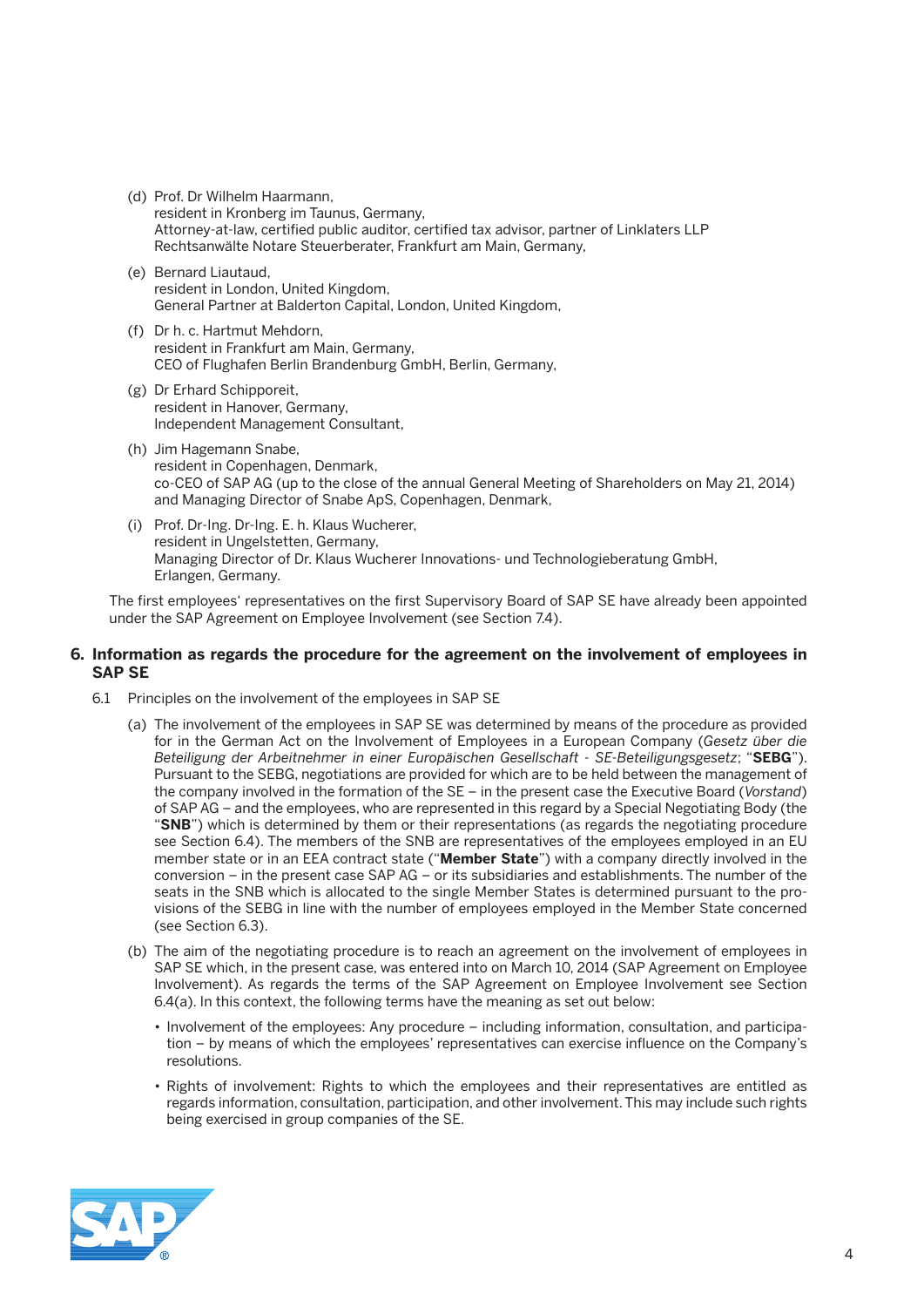- (d) Prof. Dr Wilhelm Haarmann, resident in Kronberg im Taunus, Germany, Attorney-at-law, certified public auditor, certified tax advisor, partner of Linklaters LLP Rechtsanwälte Notare Steuerberater, Frankfurt am Main, Germany,
- (e) Bernard Liautaud, resident in London, United Kingdom, General Partner at Balderton Capital, London, United Kingdom,
- (f) Dr h. c. Hartmut Mehdorn, resident in Frankfurt am Main, Germany, CEO of Flughafen Berlin Brandenburg GmbH, Berlin, Germany,
- (g) Dr Erhard Schipporeit, resident in Hanover, Germany, Independent Management Consultant,
- (h) Jim Hagemann Snabe, resident in Copenhagen, Denmark, co-CEO of SAP AG (up to the close of the annual General Meeting of Shareholders on May 21, 2014) and Managing Director of Snabe ApS, Copenhagen, Denmark,
- (i) Prof. Dr-Ing. Dr-Ing. E. h. Klaus Wucherer, resident in Ungelstetten, Germany, Managing Director of Dr. Klaus Wucherer Innovations- und Technologieberatung GmbH, Erlangen, Germany.

 The first employees' representatives on the first Supervisory Board of SAP SE have already been appointed under the SAP Agreement on Employee Involvement (see Section 7.4).

# **6. Information as regards the procedure for the agreement on the involvement of employees in SAP SE**

- 6.1 Principles on the involvement of the employees in SAP SE
	- (a) The involvement of the employees in SAP SE was determined by means of the procedure as provided for in the German Act on the Involvement of Employees in a European Company (*Gesetz über die Beteiligung der Arbeitnehmer in einer Europäischen Gesellschaft - SE-Beteiligungsgesetz*; "**SEBG**"). Pursuant to the SEBG, negotiations are provided for which are to be held between the management of the company involved in the formation of the SE – in the present case the Executive Board (*Vorstand*) of SAP AG – and the employees, who are represented in this regard by a Special Negotiating Body (the "**SNB**") which is determined by them or their representations (as regards the negotiating procedure see Section 6.4). The members of the SNB are representatives of the employees employed in an EU member state or in an EEA contract state ("**Member State**") with a company directly involved in the conversion – in the present case SAP AG – or its subsidiaries and establishments. The number of the seats in the SNB which is allocated to the single Member States is determined pursuant to the provisions of the SEBG in line with the number of employees employed in the Member State concerned (see Section 6.3).
	- (b) The aim of the negotiating procedure is to reach an agreement on the involvement of employees in SAP SE which, in the present case, was entered into on March 10, 2014 (SAP Agreement on Employee Involvement). As regards the terms of the SAP Agreement on Employee Involvement see Section 6.4(a). In this context, the following terms have the meaning as set out below:
		- Involvement of the employees: Any procedure including information, consultation, and participation – by means of which the employees' representatives can exercise influence on the Company's resolutions.
		- Rights of involvement: Rights to which the employees and their representatives are entitled as regards information, consultation, participation, and other involvement. This may include such rights being exercised in group companies of the SE.

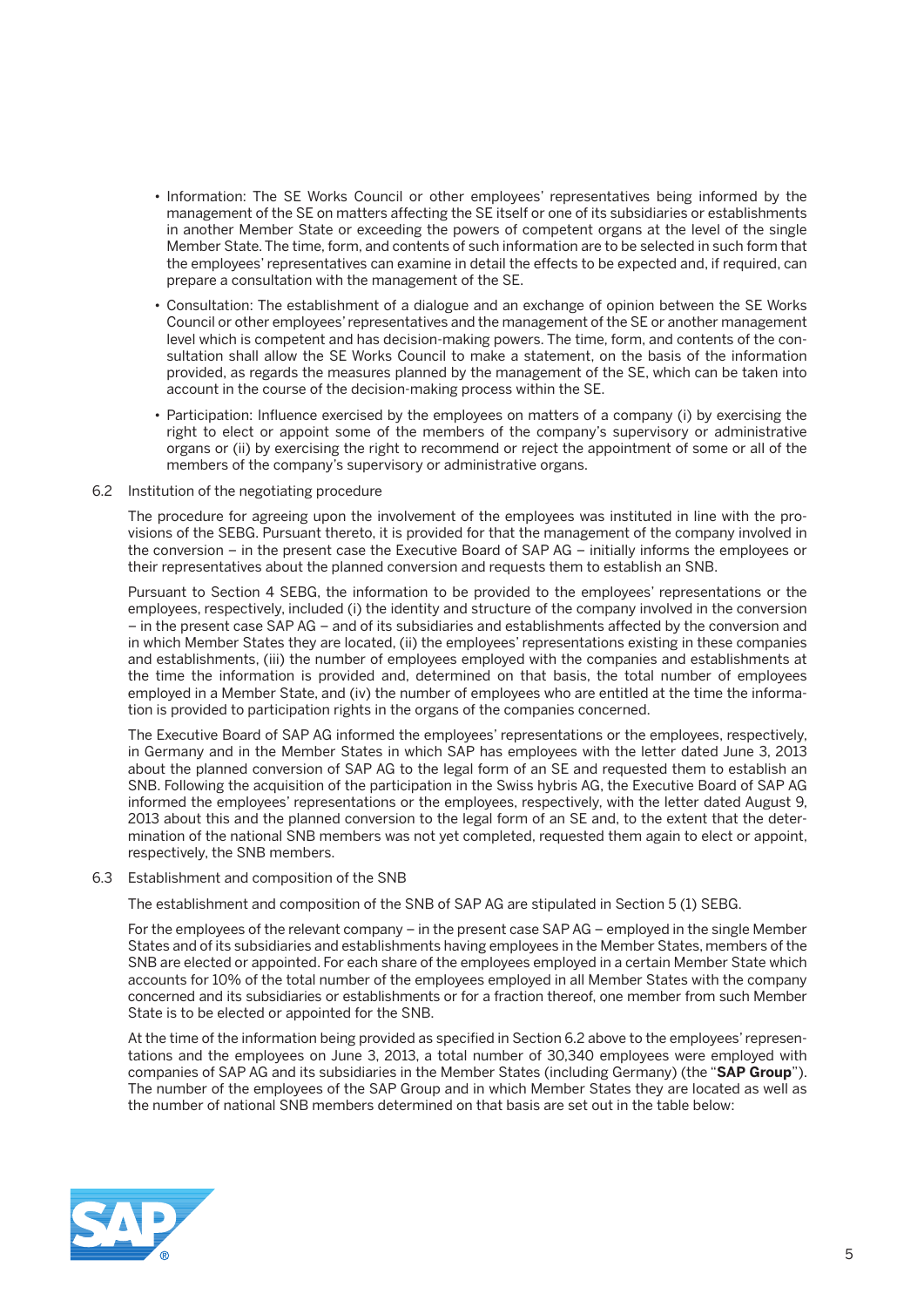- • Information: The SE Works Council or other employees' representatives being informed by the management of the SE on matters affecting the SE itself or one of its subsidiaries or establishments in another Member State or exceeding the powers of competent organs at the level of the single Member State. The time, form, and contents of such information are to be selected in such form that the employees' representatives can examine in detail the effects to be expected and, if required, can prepare a consultation with the management of the SE.
- • Consultation: The establishment of a dialogue and an exchange of opinion between the SE Works Council or other employees' representatives and the management of the SE or another management level which is competent and has decision-making powers. The time, form, and contents of the consultation shall allow the SE Works Council to make a statement, on the basis of the information provided, as regards the measures planned by the management of the SE, which can be taken into account in the course of the decision-making process within the SE.
- Participation: Influence exercised by the employees on matters of a company (i) by exercising the right to elect or appoint some of the members of the company's supervisory or administrative organs or (ii) by exercising the right to recommend or reject the appointment of some or all of the members of the company's supervisory or administrative organs.

#### 6.2 Institution of the negotiating procedure

 The procedure for agreeing upon the involvement of the employees was instituted in line with the provisions of the SEBG. Pursuant thereto, it is provided for that the management of the company involved in the conversion – in the present case the Executive Board of SAP AG – initially informs the employees or their representatives about the planned conversion and requests them to establish an SNB.

 Pursuant to Section 4 SEBG, the information to be provided to the employees' representations or the employees, respectively, included (i) the identity and structure of the company involved in the conversion – in the present case SAP AG – and of its subsidiaries and establishments affected by the conversion and in which Member States they are located, (ii) the employees' representations existing in these companies and establishments, (iii) the number of employees employed with the companies and establishments at the time the information is provided and, determined on that basis, the total number of employees employed in a Member State, and (iv) the number of employees who are entitled at the time the information is provided to participation rights in the organs of the companies concerned.

 The Executive Board of SAP AG informed the employees' representations or the employees, respectively, in Germany and in the Member States in which SAP has employees with the letter dated June 3, 2013 about the planned conversion of SAP AG to the legal form of an SE and requested them to establish an SNB. Following the acquisition of the participation in the Swiss hybris AG, the Executive Board of SAP AG informed the employees' representations or the employees, respectively, with the letter dated August 9, 2013 about this and the planned conversion to the legal form of an SE and, to the extent that the determination of the national SNB members was not yet completed, requested them again to elect or appoint, respectively, the SNB members.

#### 6.3 Establishment and composition of the SNB

The establishment and composition of the SNB of SAP AG are stipulated in Section 5 (1) SEBG.

 For the employees of the relevant company – in the present case SAP AG – employed in the single Member States and of its subsidiaries and establishments having employees in the Member States, members of the SNB are elected or appointed. For each share of the employees employed in a certain Member State which accounts for 10% of the total number of the employees employed in all Member States with the company concerned and its subsidiaries or establishments or for a fraction thereof, one member from such Member State is to be elected or appointed for the SNB.

 At the time of the information being provided as specified in Section 6.2 above to the employees' representations and the employees on June 3, 2013, a total number of 30,340 employees were employed with companies of SAP AG and its subsidiaries in the Member States (including Germany) (the "**SAP Group**"). The number of the employees of the SAP Group and in which Member States they are located as well as the number of national SNB members determined on that basis are set out in the table below:

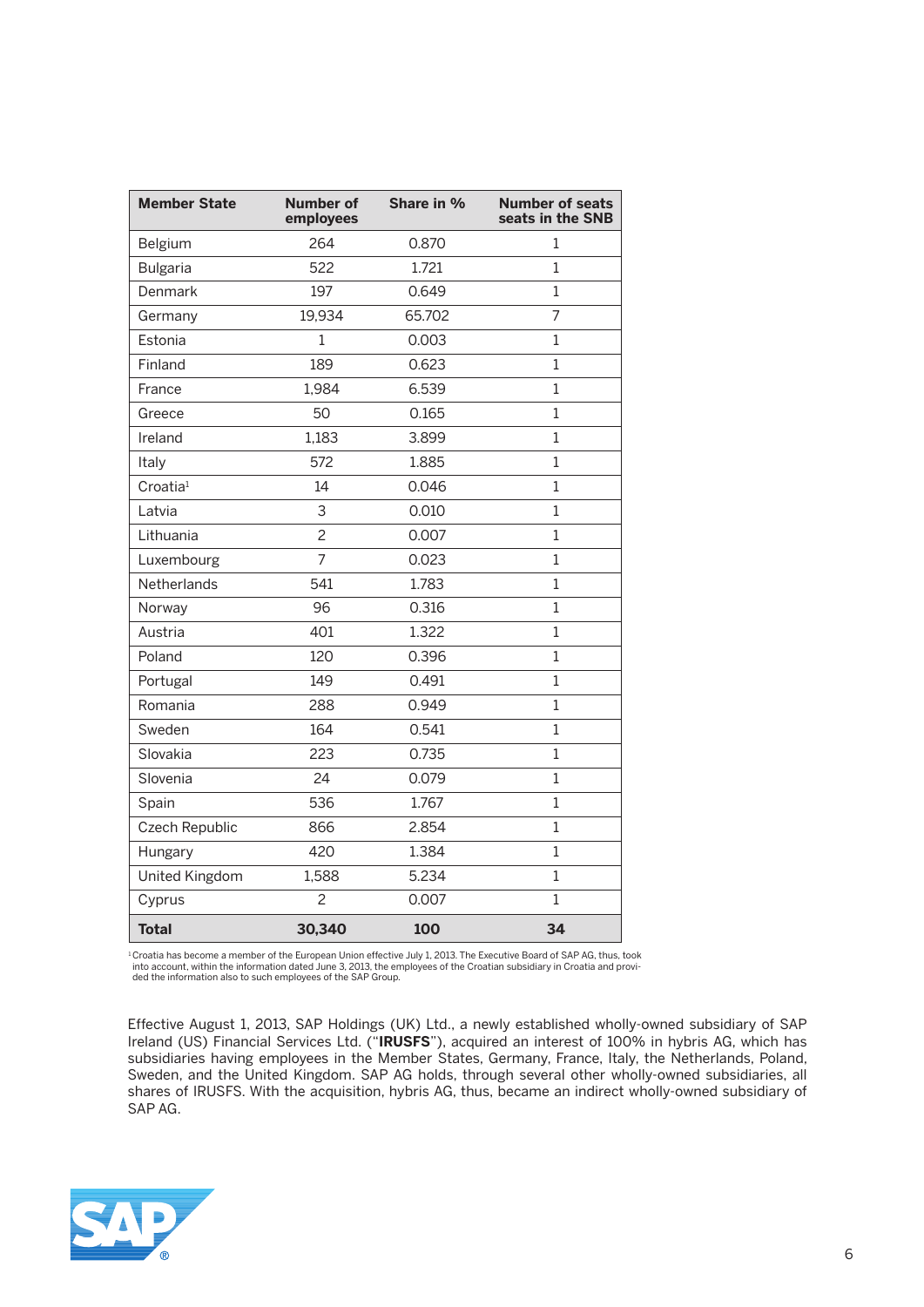| <b>Member State</b>  | <b>Number of</b><br>employees | Share in % | <b>Number of seats</b><br>seats in the SNB |
|----------------------|-------------------------------|------------|--------------------------------------------|
| Belgium              | 264                           | 0.870      | 1                                          |
| <b>Bulgaria</b>      | 522                           | 1.721      | 1                                          |
| Denmark              | 197                           | 0.649      | 1                                          |
| Germany              | 19,934                        | 65.702     | $\overline{7}$                             |
| Estonia              | 1                             | 0.003      | 1                                          |
| Finland              | 189                           | 0.623      | 1                                          |
| France               | 1,984                         | 6.539      | $\mathbf{1}$                               |
| Greece               | 50                            | 0.165      | $\mathbf 1$                                |
| Ireland              | 1,183                         | 3.899      | $\mathbf{1}$                               |
| Italy                | 572                           | 1.885      | 1                                          |
| Croatia <sup>1</sup> | 14                            | 0.046      | $\overline{1}$                             |
| Latvia               | 3                             | 0.010      | $\mathbf{1}$                               |
| Lithuania            | $\overline{c}$                | 0.007      | $\mathbf 1$                                |
| Luxembourg           | $\overline{7}$                | 0.023      | $\mathbf{1}$                               |
| Netherlands          | 541                           | 1.783      | $\mathbf{1}$                               |
| Norway               | 96                            | 0.316      | $\mathbf{1}$                               |
| Austria              | 401                           | 1.322      | 1                                          |
| Poland               | 120                           | 0.396      | $\mathbf 1$                                |
| Portugal             | 149                           | 0.491      | $\overline{1}$                             |
| Romania              | 288                           | 0.949      | $\mathbf{1}$                               |
| Sweden               | 164                           | 0.541      | $\mathbf{1}$                               |
| Slovakia             | 223                           | 0.735      | $\mathbf{1}$                               |
| Slovenia             | 24                            | 0.079      | $\mathbf 1$                                |
| Spain                | 536                           | 1.767      | $\mathbf{1}$                               |
| Czech Republic       | 866                           | 2.854      | $\mathbf{1}$                               |
| Hungary              | 420                           | 1.384      | $\mathbf{1}$                               |
| United Kingdom       | 1,588                         | 5.234      | $\mathbf{1}$                               |
| Cyprus               | $\overline{c}$                | 0.007      | $\overline{1}$                             |
| <b>Total</b>         | 30,340                        | 100        | 34                                         |

<sup>1</sup> Croatia has become a member of the European Union effective July 1, 2013. The Executive Board of SAP AG, thus, took into account, within the information dated June 3, 2013, the employees of the Croatian subsidiary in Croatia and provi-ded the information also to such employees of the SAP Group.

 Effective August 1, 2013, SAP Holdings (UK) Ltd., a newly established wholly-owned subsidiary of SAP Ireland (US) Financial Services Ltd. ("**IRUSFS**"), acquired an interest of 100% in hybris AG, which has subsidiaries having employees in the Member States, Germany, France, Italy, the Netherlands, Poland, Sweden, and the United Kingdom. SAP AG holds, through several other wholly-owned subsidiaries, all shares of IRUSFS. With the acquisition, hybris AG, thus, became an indirect wholly-owned subsidiary of SAP AG.

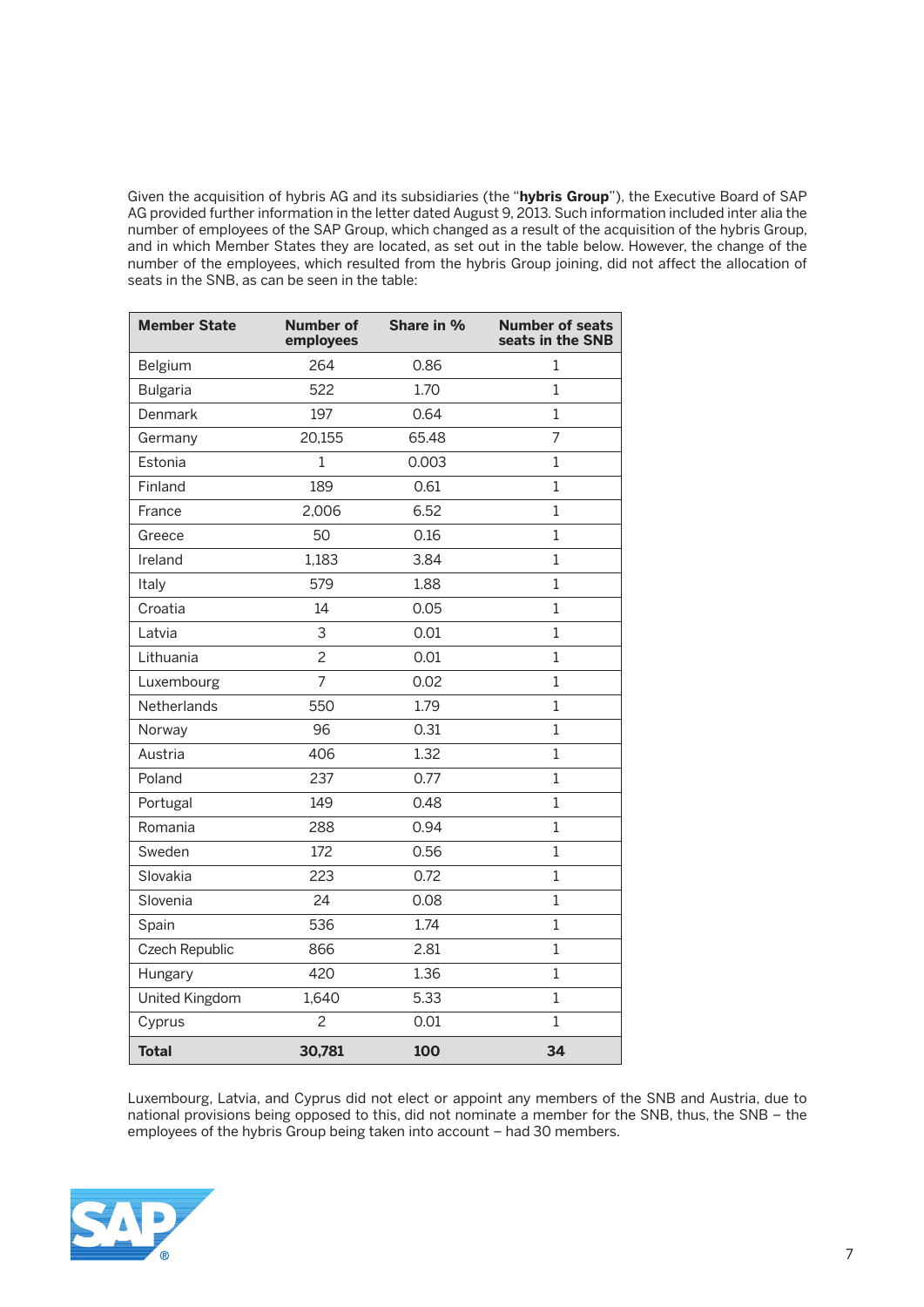Given the acquisition of hybris AG and its subsidiaries (the "**hybris Group**"), the Executive Board of SAP AG provided further information in the letter dated August 9, 2013. Such information included inter alia the number of employees of the SAP Group, which changed as a result of the acquisition of the hybris Group, and in which Member States they are located, as set out in the table below. However, the change of the number of the employees, which resulted from the hybris Group joining, did not affect the allocation of seats in the SNB, as can be seen in the table:

| <b>Member State</b> | <b>Number of</b><br>employees | Share in % | <b>Number of seats</b><br>seats in the SNB |
|---------------------|-------------------------------|------------|--------------------------------------------|
| Belgium             | 264                           | 0.86       | 1                                          |
| <b>Bulgaria</b>     | 522                           | 1.70       | $\mathbf{1}$                               |
| Denmark             | 197                           | 0.64       | $\mathbf{1}$                               |
| Germany             | 20,155                        | 65.48      | $\overline{7}$                             |
| Estonia             | 1                             | 0.003      | $\mathbf 1$                                |
| Finland             | 189                           | 0.61       | $\mathbf{1}$                               |
| France              | 2,006                         | 6.52       | $\mathbf{1}$                               |
| Greece              | 50                            | 0.16       | $\mathbf 1$                                |
| Ireland             | 1,183                         | 3.84       | $\mathbf 1$                                |
| Italy               | 579                           | 1.88       | 1                                          |
| Croatia             | 14                            | 0.05       | $\mathbf 1$                                |
| Latvia              | 3                             | 0.01       | $\mathbf{1}$                               |
| Lithuania           | $\overline{c}$                | 0.01       | $\mathbf{1}$                               |
| Luxembourg          | $\overline{7}$                | 0.02       | $\mathbf{1}$                               |
| Netherlands         | 550                           | 1.79       | $\mathbf{1}$                               |
| Norway              | 96                            | 0.31       | 1                                          |
| Austria             | 406                           | 1.32       | $\mathbf{1}$                               |
| Poland              | 237                           | 0.77       | $\mathbf{1}$                               |
| Portugal            | 149                           | 0.48       | $\mathbf{1}$                               |
| Romania             | 288                           | 0.94       | $\mathbf{1}$                               |
| Sweden              | 172                           | 0.56       | $\mathbf 1$                                |
| Slovakia            | 223                           | 0.72       | $\mathbf{1}$                               |
| Slovenia            | 24                            | 0.08       | $\mathbf{1}$                               |
| Spain               | 536                           | 1.74       | $\overline{1}$                             |
| Czech Republic      | 866                           | 2.81       | $\mathbf 1$                                |
| Hungary             | 420                           | 1.36       | $\mathbf{1}$                               |
| United Kingdom      | 1,640                         | 5.33       | $\mathbf{1}$                               |
| Cyprus              | $\overline{c}$                | 0.01       | $\mathbf 1$                                |
| <b>Total</b>        | 30,781                        | 100        | 34                                         |

 Luxembourg, Latvia, and Cyprus did not elect or appoint any members of the SNB and Austria, due to national provisions being opposed to this, did not nominate a member for the SNB, thus, the SNB – the employees of the hybris Group being taken into account – had 30 members.

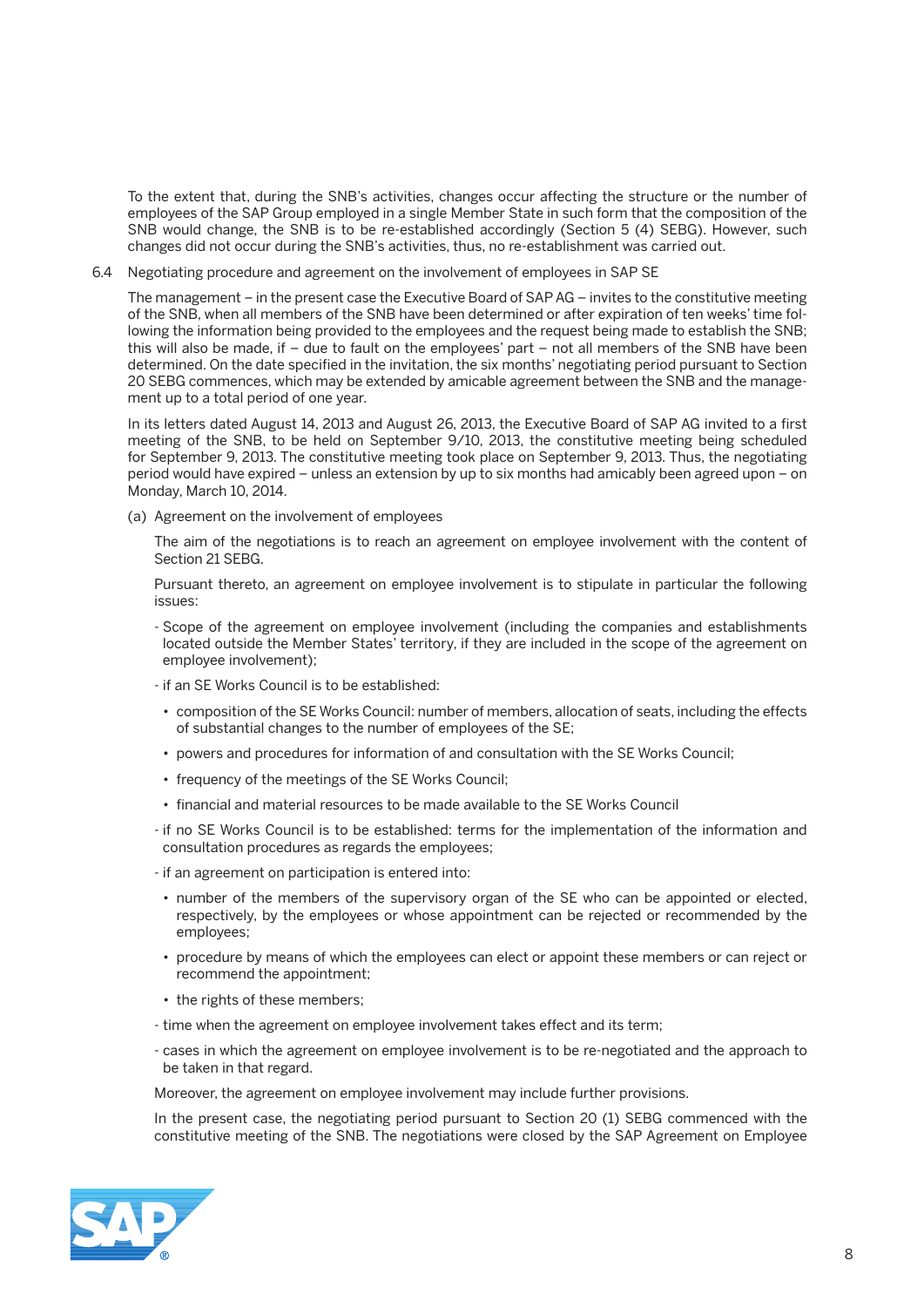To the extent that, during the SNB's activities, changes occur affecting the structure or the number of employees of the SAP Group employed in a single Member State in such form that the composition of the SNB would change, the SNB is to be re-established accordingly (Section 5 (4) SEBG). However, such changes did not occur during the SNB's activities, thus, no re-establishment was carried out.

6.4 Negotiating procedure and agreement on the involvement of employees in SAP SE

 The management – in the present case the Executive Board of SAP AG – invites to the constitutive meeting of the SNB, when all members of the SNB have been determined or after expiration of ten weeks' time following the information being provided to the employees and the request being made to establish the SNB; this will also be made, if – due to fault on the employees' part – not all members of the SNB have been determined. On the date specified in the invitation, the six months' negotiating period pursuant to Section 20 SEBG commences, which may be extended by amicable agreement between the SNB and the management up to a total period of one year.

 In its letters dated August 14, 2013 and August 26, 2013, the Executive Board of SAP AG invited to a first meeting of the SNB, to be held on September 9/10, 2013, the constitutive meeting being scheduled for September 9, 2013. The constitutive meeting took place on September 9, 2013. Thus, the negotiating period would have expired – unless an extension by up to six months had amicably been agreed upon – on Monday, March 10, 2014.

(a) Agreement on the involvement of employees

 The aim of the negotiations is to reach an agreement on employee involvement with the content of Section 21 SEBG.

 Pursuant thereto, an agreement on employee involvement is to stipulate in particular the following issues:

- Scope of the agreement on employee involvement (including the companies and establishments located outside the Member States' territory, if they are included in the scope of the agreement on employee involvement);
- if an SE Works Council is to be established:
- composition of the SE Works Council: number of members, allocation of seats, including the effects of substantial changes to the number of employees of the SE;
- powers and procedures for information of and consultation with the SE Works Council;
- frequency of the meetings of the SE Works Council;
- financial and material resources to be made available to the SE Works Council
- if no SE Works Council is to be established: terms for the implementation of the information and consultation procedures as regards the employees;
- if an agreement on participation is entered into:
	- number of the members of the supervisory organ of the SE who can be appointed or elected, respectively, by the employees or whose appointment can be rejected or recommended by the employees;
	- procedure by means of which the employees can elect or appoint these members or can reject or recommend the appointment;
	- the rights of these members;
- time when the agreement on employee involvement takes effect and its term;
- cases in which the agreement on employee involvement is to be re-negotiated and the approach to be taken in that regard.

Moreover, the agreement on employee involvement may include further provisions.

 In the present case, the negotiating period pursuant to Section 20 (1) SEBG commenced with the constitutive meeting of the SNB. The negotiations were closed by the SAP Agreement on Employee

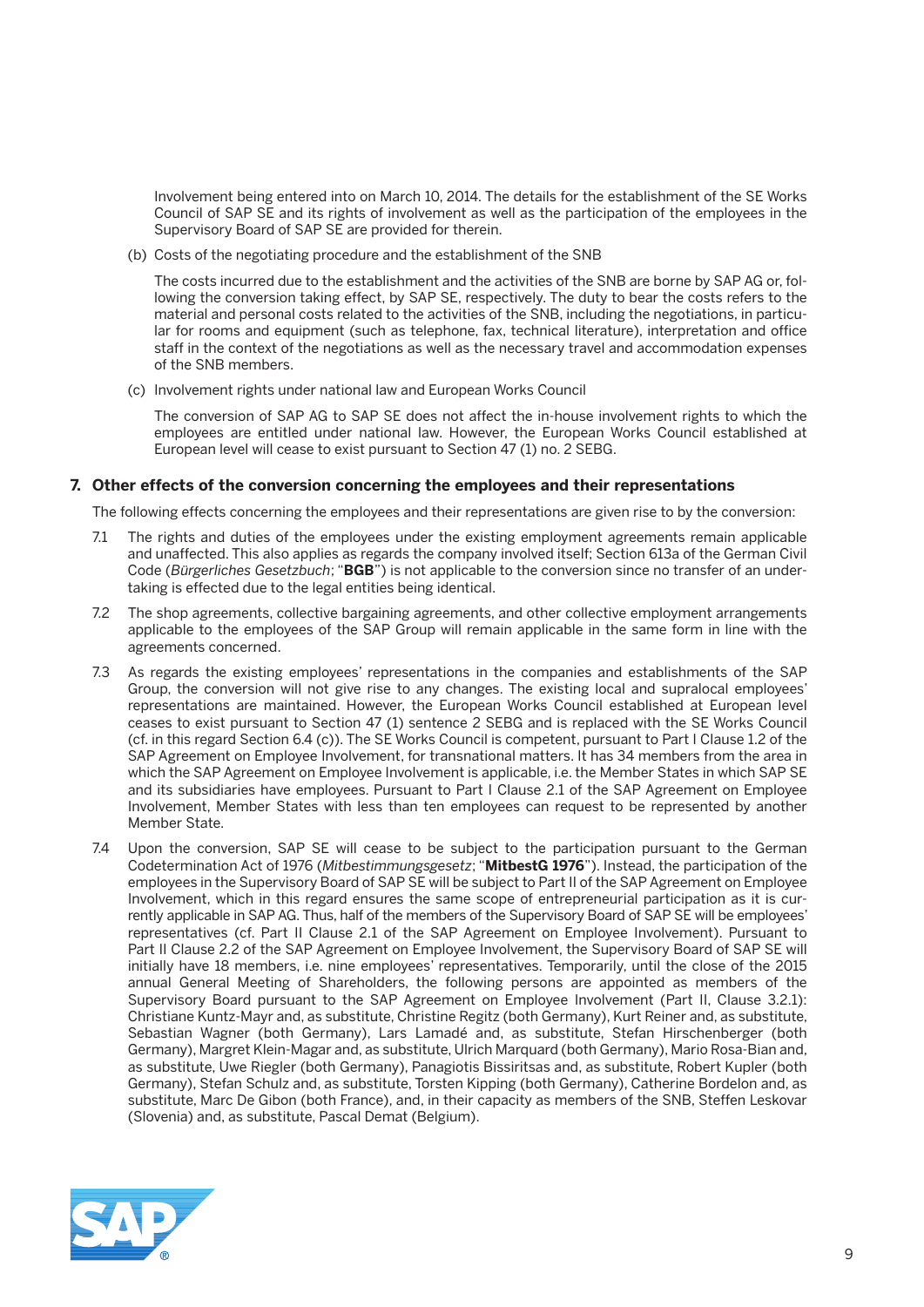Involvement being entered into on March 10, 2014. The details for the establishment of the SE Works Council of SAP SE and its rights of involvement as well as the participation of the employees in the Supervisory Board of SAP SE are provided for therein.

(b) Costs of the negotiating procedure and the establishment of the SNB

 The costs incurred due to the establishment and the activities of the SNB are borne by SAP AG or, following the conversion taking effect, by SAP SE, respectively. The duty to bear the costs refers to the material and personal costs related to the activities of the SNB, including the negotiations, in particular for rooms and equipment (such as telephone, fax, technical literature), interpretation and office staff in the context of the negotiations as well as the necessary travel and accommodation expenses of the SNB members.

(c) Involvement rights under national law and European Works Council

 The conversion of SAP AG to SAP SE does not affect the in-house involvement rights to which the employees are entitled under national law. However, the European Works Council established at European level will cease to exist pursuant to Section 47 (1) no. 2 SEBG.

### **7. Other effects of the conversion concerning the employees and their representations**

The following effects concerning the employees and their representations are given rise to by the conversion:

- 7.1 The rights and duties of the employees under the existing employment agreements remain applicable and unaffected. This also applies as regards the company involved itself; Section 613a of the German Civil Code (*Bürgerliches Gesetzbuch*; "**BGB**") is not applicable to the conversion since no transfer of an undertaking is effected due to the legal entities being identical.
- 7.2 The shop agreements, collective bargaining agreements, and other collective employment arrangements applicable to the employees of the SAP Group will remain applicable in the same form in line with the agreements concerned.
- 7.3 As regards the existing employees' representations in the companies and establishments of the SAP Group, the conversion will not give rise to any changes. The existing local and supralocal employees' representations are maintained. However, the European Works Council established at European level ceases to exist pursuant to Section 47 (1) sentence 2 SEBG and is replaced with the SE Works Council (cf. in this regard Section 6.4 (c)). The SE Works Council is competent, pursuant to Part I Clause 1.2 of the SAP Agreement on Employee Involvement, for transnational matters. It has 34 members from the area in which the SAP Agreement on Employee Involvement is applicable, i.e. the Member States in which SAP SE and its subsidiaries have employees. Pursuant to Part I Clause 2.1 of the SAP Agreement on Employee Involvement, Member States with less than ten employees can request to be represented by another Member State.
- 7.4 Upon the conversion, SAP SE will cease to be subject to the participation pursuant to the German Codetermination Act of 1976 (*Mitbestimmungsgesetz*; "**MitbestG 1976**"). Instead, the participation of the employees in the Supervisory Board of SAP SE will be subject to Part II of the SAP Agreement on Employee Involvement, which in this regard ensures the same scope of entrepreneurial participation as it is currently applicable in SAP AG. Thus, half of the members of the Supervisory Board of SAP SE will be employees' representatives (cf. Part II Clause 2.1 of the SAP Agreement on Employee Involvement). Pursuant to Part II Clause 2.2 of the SAP Agreement on Employee Involvement, the Supervisory Board of SAP SE will initially have 18 members, i.e. nine employees' representatives. Temporarily, until the close of the 2015 annual General Meeting of Shareholders, the following persons are appointed as members of the Supervisory Board pursuant to the SAP Agreement on Employee Involvement (Part II, Clause 3.2.1): Christiane Kuntz-Mayr and, as substitute, Christine Regitz (both Germany), Kurt Reiner and, as substitute, Sebastian Wagner (both Germany), Lars Lamadé and, as substitute, Stefan Hirschenberger (both Germany), Margret Klein-Magar and, as substitute, Ulrich Marquard (both Germany), Mario Rosa-Bian and, as substitute, Uwe Riegler (both Germany), Panagiotis Bissiritsas and, as substitute, Robert Kupler (both Germany), Stefan Schulz and, as substitute, Torsten Kipping (both Germany), Catherine Bordelon and, as substitute, Marc De Gibon (both France), and, in their capacity as members of the SNB, Steffen Leskovar (Slovenia) and, as substitute, Pascal Demat (Belgium).